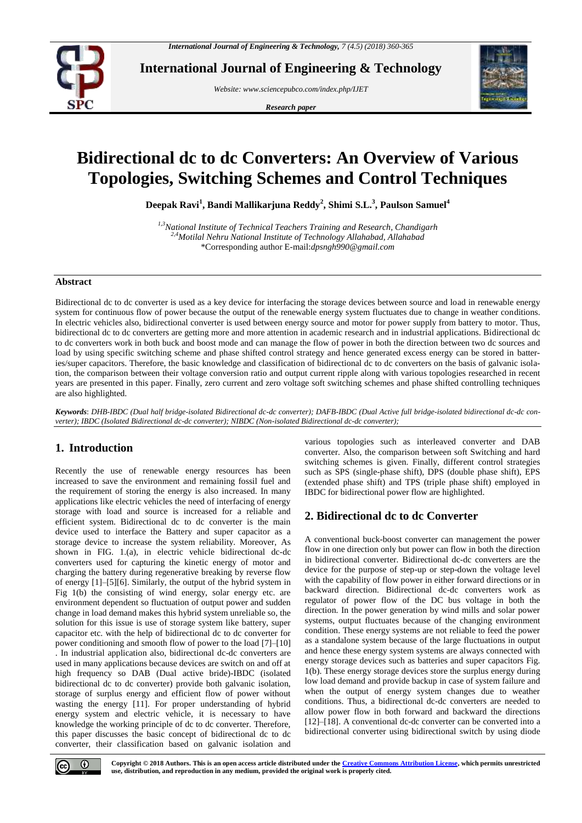

**International Journal of Engineering & Technology**

*Website: [www.sciencepubco.com/index.php/IJET](http://www.sciencepubco.com/index.php/IJET)*

*Research paper*



# **Bidirectional dc to dc Converters: An Overview of Various Topologies, Switching Schemes and Control Techniques**

**Deepak Ravi<sup>1</sup> , Bandi Mallikarjuna Reddy<sup>2</sup> , Shimi S.L.<sup>3</sup> , Paulson Samuel<sup>4</sup>**

*1,3National Institute of Technical Teachers Training and Research, Chandigarh 2,4Motilal Nehru National Institute of Technology Allahabad, Allahabad* \*Corresponding author E-mail:*dpsngh990@gmail.com*

## **Abstract**

Bidirectional dc to dc converter is used as a key device for interfacing the storage devices between source and load in renewable energy system for continuous flow of power because the output of the renewable energy system fluctuates due to change in weather conditions. In electric vehicles also, bidirectional converter is used between energy source and motor for power supply from battery to motor. Thus, bidirectional dc to dc converters are getting more and more attention in academic research and in industrial applications. Bidirectional dc to dc converters work in both buck and boost mode and can manage the flow of power in both the direction between two dc sources and load by using specific switching scheme and phase shifted control strategy and hence generated excess energy can be stored in batteries/super capacitors. Therefore, the basic knowledge and classification of bidirectional dc to dc converters on the basis of galvanic isolation, the comparison between their voltage conversion ratio and output current ripple along with various topologies researched in recent years are presented in this paper. Finally, zero current and zero voltage soft switching schemes and phase shifted controlling techniques are also highlighted.

*Keywords*: *DHB-IBDC (Dual half bridge-isolated Bidirectional dc-dc converter); DAFB-IBDC (Dual Active full bridge-isolated bidirectional dc-dc converter); IBDC (Isolated Bidirectional dc-dc converter); NIBDC (Non-isolated Bidirectional dc-dc converter);* 

# **1. Introduction**

Recently the use of renewable energy resources has been increased to save the environment and remaining fossil fuel and the requirement of storing the energy is also increased. In many applications like electric vehicles the need of interfacing of energy storage with load and source is increased for a reliable and efficient system. Bidirectional dc to dc converter is the main device used to interface the Battery and super capacitor as a storage device to increase the system reliability. Moreover, As shown in FIG. 1.(a), in electric vehicle bidirectional dc-dc converters used for capturing the kinetic energy of motor and charging the battery during regenerative breaking by reverse flow of energy [1]–[5][6]. Similarly, the output of the hybrid system in Fig 1(b) the consisting of wind energy, solar energy etc. are environment dependent so fluctuation of output power and sudden change in load demand makes this hybrid system unreliable so, the solution for this issue is use of storage system like battery, super capacitor etc. with the help of bidirectional dc to dc converter for power conditioning and smooth flow of power to the load [7]–[10] . In industrial application also, bidirectional dc-dc converters are used in many applications because devices are switch on and off at high frequency so DAB (Dual active bride)-IBDC (isolated bidirectional dc to dc converter) provide both galvanic isolation, storage of surplus energy and efficient flow of power without wasting the energy [11]. For proper understanding of hybrid energy system and electric vehicle, it is necessary to have knowledge the working principle of dc to dc converter. Therefore, this paper discusses the basic concept of bidirectional dc to dc converter, their classification based on galvanic isolation and

various topologies such as interleaved converter and DAB converter. Also, the comparison between soft Switching and hard switching schemes is given. Finally, different control strategies such as SPS (single-phase shift), DPS (double phase shift), EPS (extended phase shift) and TPS (triple phase shift) employed in IBDC for bidirectional power flow are highlighted.

# **2. Bidirectional dc to dc Converter**

A conventional buck-boost converter can management the power flow in one direction only but power can flow in both the direction in bidirectional converter. Bidirectional dc-dc converters are the device for the purpose of step-up or step-down the voltage level with the capability of flow power in either forward directions or in backward direction. Bidirectional dc-dc converters work as regulator of power flow of the DC bus voltage in both the direction. In the power generation by wind mills and solar power systems, output fluctuates because of the changing environment condition. These energy systems are not reliable to feed the power as a standalone system because of the large fluctuations in output and hence these energy system systems are always connected with energy storage devices such as batteries and super capacitors Fig. 1(b). These energy storage devices store the surplus energy during low load demand and provide backup in case of system failure and when the output of energy system changes due to weather conditions. Thus, a bidirectional dc-dc converters are needed to allow power flow in both forward and backward the directions [12]–[18]. A conventional dc-dc converter can be converted into a bidirectional converter using bidirectional switch by using diode



**Copyright © 2018 Authors. This is an open access article distributed under th[e Creative Commons Attribution License,](http://creativecommons.org/licenses/by/3.0/) which permits unrestricted use, distribution, and reproduction in any medium, provided the original work is properly cited.**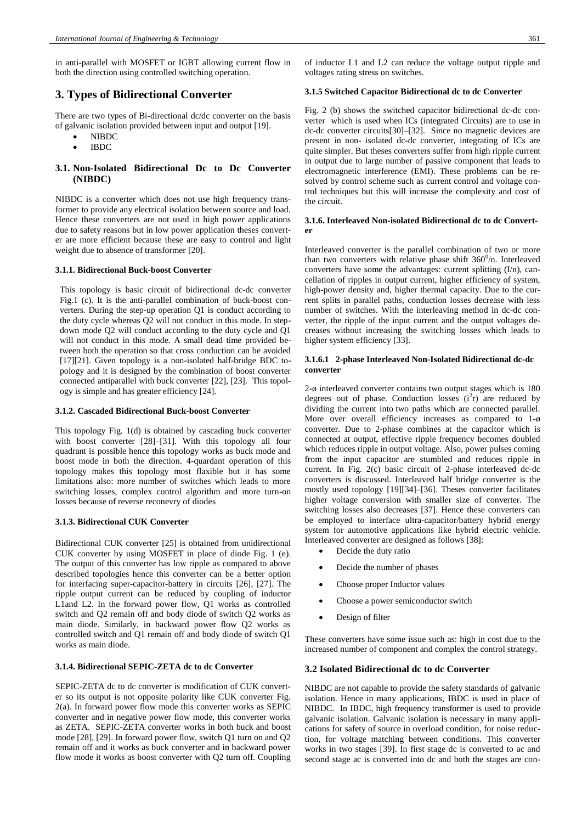in anti-parallel with MOSFET or IGBT allowing current flow in both the direction using controlled switching operation.

# **3. Types of Bidirectional Converter**

There are two types of Bi-directional dc/dc converter on the basis of galvanic isolation provided between input and output [19].

- NIBDC
- IBDC

# **3.1. Non-Isolated Bidirectional Dc to Dc Converter (NIBDC)**

NIBDC is a converter which does not use high frequency transformer to provide any electrical isolation between source and load. Hence these converters are not used in high power applications due to safety reasons but in low power application theses converter are more efficient because these are easy to control and light weight due to absence of transformer [20].

#### **3.1.1. Bidirectional Buck-boost Converter**

This topology is basic circuit of bidirectional dc-dc converter Fig.1 (c). It is the anti-parallel combination of buck-boost converters. During the step-up operation Q1 is conduct according to the duty cycle whereas Q2 will not conduct in this mode. In stepdown mode Q2 will conduct according to the duty cycle and Q1 will not conduct in this mode. A small dead time provided between both the operation so that cross conduction can be avoided [17][21]. Given topology is a non-isolated half-bridge BDC topology and it is designed by the combination of boost converter connected antiparallel with buck converter [22], [23]. This topology is simple and has greater efficiency [24].

#### **3.1.2. Cascaded Bidirectional Buck-boost Converter**

This topology Fig. 1(d) is obtained by cascading buck converter with boost converter [28]–[31]. With this topology all four quadrant is possible hence this topology works as buck mode and boost mode in both the direction. 4-quardant operation of this topology makes this topology most flaxible but it has some limitations also: more number of switches which leads to more switching losses, complex control algorithm and more turn-on losses because of reverse reconevry of diodes

#### **3.1.3. Bidirectional CUK Converter**

Bidirectional CUK converter [25] is obtained from unidirectional CUK converter by using MOSFET in place of diode Fig. 1 (e). The output of this converter has low ripple as compared to above described topologies hence this converter can be a better option for interfacing super-capacitor-battery in circuits [26], [27]. The ripple output current can be reduced by coupling of inductor L1and L2. In the forward power flow, Q1 works as controlled switch and Q2 remain off and body diode of switch Q2 works as main diode. Similarly, in backward power flow Q2 works as controlled switch and Q1 remain off and body diode of switch Q1 works as main diode.

#### **3.1.4. Bidirectional SEPIC-ZETA dc to dc Converter**

SEPIC-ZETA dc to dc converter is modification of CUK converter so its output is not opposite polarity like CUK converter Fig. 2(a). In forward power flow mode this converter works as SEPIC converter and in negative power flow mode, this converter works as ZETA. SEPIC-ZETA converter works in both buck and boost mode [28], [29]. In forward power flow, switch Q1 turn on and Q2 remain off and it works as buck converter and in backward power flow mode it works as boost converter with Q2 turn off. Coupling of inductor L1 and L2 can reduce the voltage output ripple and voltages rating stress on switches.

#### **3.1.5 Switched Capacitor Bidirectional dc to dc Converter**

Fig. 2 (b) shows the switched capacitor bidirectional dc-dc converter which is used when ICs (integrated Circuits) are to use in dc-dc converter circuits[30]–[32]. Since no magnetic devices are present in non- isolated dc-dc converter, integrating of ICs are quite simpler. But theses converters suffer from high ripple current in output due to large number of passive component that leads to electromagnetic interference (EMI). These problems can be resolved by control scheme such as current control and voltage control techniques but this will increase the complexity and cost of the circuit.

#### **3.1.6. Interleaved Non-isolated Bidirectional dc to dc Converter**

Interleaved converter is the parallel combination of two or more than two converters with relative phase shift  $360^0/n$ . Interleaved converters have some the advantages: current splitting (I/n), cancellation of ripples in output current, higher efficiency of system, high-power density and, higher thermal capacity. Due to the current splits in parallel paths, conduction losses decrease with less number of switches. With the interleaving method in dc-dc converter, the ripple of the input current and the output voltages decreases without increasing the switching losses which leads to higher system efficiency [33].

## **3.1.6.1 2-phase Interleaved Non-Isolated Bidirectional dc-dc converter**

2-ø interleaved converter contains two output stages which is 180 degrees out of phase. Conduction losses  $(i^2r)$  are reduced by dividing the current into two paths which are connected parallel. More over overall efficiency increases as compared to 1-ø converter. Due to 2-phase combines at the capacitor which is connected at output, effective ripple frequency becomes doubled which reduces ripple in output voltage. Also, power pulses coming from the input capacitor are stumbled and reduces ripple in current. In Fig. 2(c) basic circuit of 2-phase interleaved dc-dc converters is discussed. Interleaved half bridge converter is the mostly used topology [19][34]–[36]. Theses converter facilitates higher voltage conversion with smaller size of converter. The switching losses also decreases [37]. Hence these converters can be employed to interface ultra-capacitor/battery hybrid energy system for automotive applications like hybrid electric vehicle. Interleaved converter are designed as follows [38]:

- Decide the duty ratio
- Decide the number of phases
- Choose proper Inductor values
- Choose a power semiconductor switch
- Design of filter

These converters have some issue such as: high in cost due to the increased number of component and complex the control strategy.

#### **3.2 Isolated Bidirectional dc to dc Converter**

NIBDC are not capable to provide the safety standards of galvanic isolation. Hence in many applications, IBDC is used in place of NIBDC. In IBDC, high frequency transformer is used to provide galvanic isolation. Galvanic isolation is necessary in many applications for safety of source in overload condition, for noise reduction, for voltage matching between conditions. This converter works in two stages [39]. In first stage dc is converted to ac and second stage ac is converted into dc and both the stages are con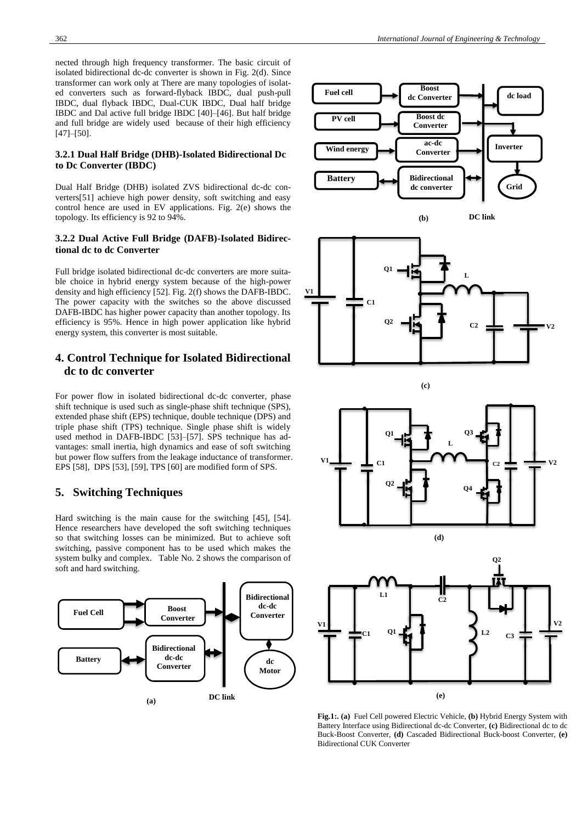nected through high frequency transformer. The basic circuit of isolated bidirectional dc-dc converter is shown in Fig. 2(d). Since transformer can work only at There are many topologies of isolated converters such as forward-flyback IBDC, dual push-pull IBDC, dual flyback IBDC, Dual-CUK IBDC, Dual half bridge IBDC and Dal active full bridge IBDC [40]–[46]. But half bridge and full bridge are widely used because of their high efficiency [47]–[50].

## **3.2.1 Dual Half Bridge (DHB)-Isolated Bidirectional Dc to Dc Converter (IBDC)**

Dual Half Bridge (DHB) isolated ZVS bidirectional dc-dc converters[51] achieve high power density, soft switching and easy control hence are used in EV applications. Fig. 2(e) shows the topology. Its efficiency is 92 to 94%.

## **3.2.2 Dual Active Full Bridge (DAFB)-Isolated Bidirectional dc to dc Converter**

Full bridge isolated bidirectional dc-dc converters are more suitable choice in hybrid energy system because of the high-power density and high efficiency [52]. Fig. 2(f) shows the DAFB-IBDC. The power capacity with the switches so the above discussed DAFB-IBDC has higher power capacity than another topology. Its efficiency is 95%. Hence in high power application like hybrid energy system, this converter is most suitable.

# **4. Control Technique for Isolated Bidirectional dc to dc converter**

For power flow in isolated bidirectional dc-dc converter, phase shift technique is used such as single-phase shift technique (SPS), extended phase shift (EPS) technique, double technique (DPS) and triple phase shift (TPS) technique. Single phase shift is widely used method in DAFB-IBDC [53]–[57]. SPS technique has advantages: small inertia, high dynamics and ease of soft switching but power flow suffers from the leakage inductance of transformer. EPS [58], DPS [53], [59], TPS [60] are modified form of SPS.

# **5. Switching Techniques**

Hard switching is the main cause for the switching [45], [54]. Hence researchers have developed the soft switching techniques so that switching losses can be minimized. But to achieve soft switching, passive component has to be used which makes the system bulky and complex. Table No. 2 shows the comparison of soft and hard switching.





**(b)**













**Fig.1:. (a)** Fuel Cell powered Electric Vehicle, **(b)** Hybrid Energy System with Battery Interface using Bidirectional dc-dc Converter, **(c)** Bidirectional dc to dc Buck-Boost Converter, **(d)** Cascaded Bidirectional Buck-boost Converter, **(e)** Bidirectional CUK Converter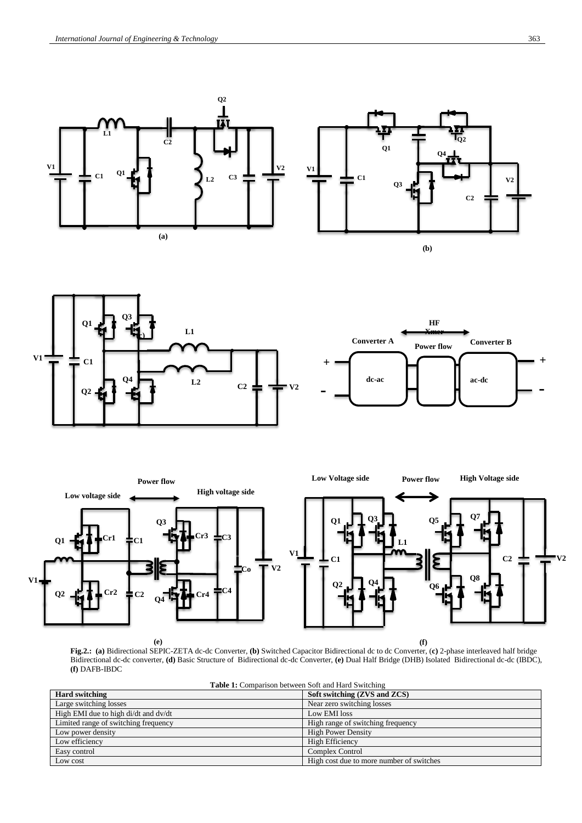







**Fig.2.: (a)** Bidirectional SEPIC-ZETA dc-dc Converter, **(b)** Switched Capacitor Bidirectional dc to dc Converter, (**c)** 2-phase interleaved half bridge Bidirectional dc-dc converter, **(d)** Basic Structure of Bidirectional dc-dc Converter, **(e)** Dual Half Bridge (DHB) Isolated Bidirectional dc-dc (IBDC), **(f)** DAFB-IBDC **(e) (f)**

| <b>Table 1:</b> Comparison between Soft and Hard Switching |                                          |
|------------------------------------------------------------|------------------------------------------|
| <b>Hard switching</b>                                      | Soft switching (ZVS and ZCS)             |
| Large switching losses                                     | Near zero switching losses               |
| High EMI due to high di/dt and dv/dt                       | Low EMI loss                             |
| Limited range of switching frequency                       | High range of switching frequency        |
| Low power density                                          | <b>High Power Density</b>                |
| Low efficiency                                             | <b>High Efficiency</b>                   |
| Easy control                                               | <b>Complex Control</b>                   |
| Low cost                                                   | High cost due to more number of switches |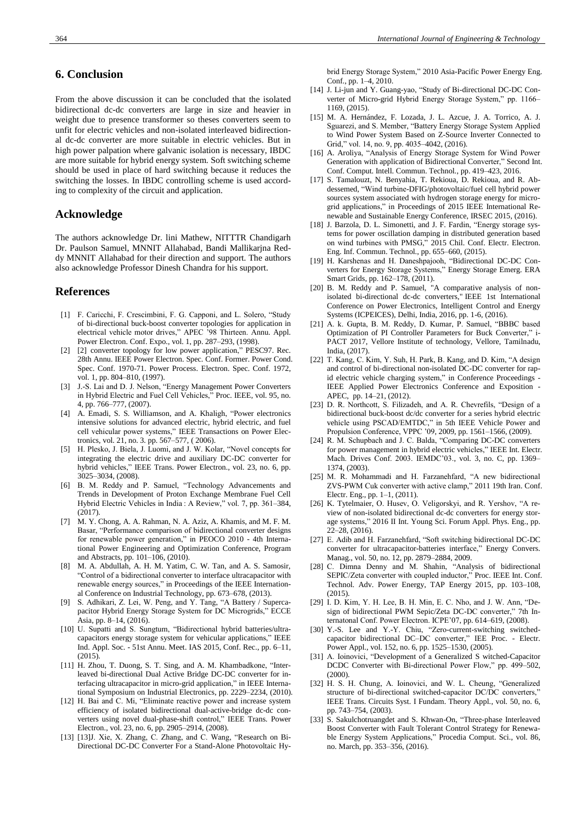# **6. Conclusion**

From the above discussion it can be concluded that the isolated bidirectional dc-dc converters are large in size and heavier in weight due to presence transformer so theses converters seem to unfit for electric vehicles and non-isolated interleaved bidirectional dc-dc converter are more suitable in electric vehicles. But in high power palpation where galvanic isolation is necessary, IBDC are more suitable for hybrid energy system. Soft switching scheme should be used in place of hard switching because it reduces the switching the losses. In IBDC controlling scheme is used according to complexity of the circuit and application.

# **Acknowledge**

The authors acknowledge Dr. lini Mathew, NITTTR Chandigarh Dr. Paulson Samuel, MNNIT Allahabad, Bandi Mallikarjna Reddy MNNIT Allahabad for their direction and support. The authors also acknowledge Professor Dinesh Chandra for his support.

## **References**

- [1] F. Caricchi, F. Crescimbini, F. G. Capponi, and L. Solero, "Study of bi-directional buck-boost converter topologies for application in electrical vehicle motor drives," APEC '98 Thirteen. Annu. Appl. Power Electron. Conf. Expo., vol. 1, pp. 287–293, (1998).
- [2] [2] converter topology for low power application," PESC97. Rec. 28th Annu. IEEE Power Electron. Spec. Conf. Former. Power Cond. Spec. Conf. 1970-71. Power Process. Electron. Spec. Conf. 1972, vol. 1, pp. 804–810, (1997).
- [3] J.-S. Lai and D. J. Nelson, "Energy Management Power Converters in Hybrid Electric and Fuel Cell Vehicles," Proc. IEEE, vol. 95, no. 4, pp. 766–777, (2007).
- [4] A. Emadi, S. S. Williamson, and A. Khaligh, "Power electronics intensive solutions for advanced electric, hybrid electric, and fuel cell vehicular power systems," IEEE Transactions on Power Electronics, vol. 21, no. 3. pp. 567–577, ( 2006).
- [5] H. Plesko, J. Biela, J. Luomi, and J. W. Kolar, "Novel concepts for integrating the electric drive and auxiliary DC-DC converter for hybrid vehicles," IEEE Trans. Power Electron., vol. 23, no. 6, pp. 3025–3034, (2008).
- [6] B. M. Reddy and P. Samuel, "Technology Advancements and Trends in Development of Proton Exchange Membrane Fuel Cell Hybrid Electric Vehicles in India : A Review," vol. 7, pp. 361–384, (2017).
- [7] M. Y. Chong, A. A. Rahman, N. A. Aziz, A. Khamis, and M. F. M. Basar, "Performance comparison of bidirectional converter designs for renewable power generation," in PEOCO 2010 - 4th International Power Engineering and Optimization Conference, Program and Abstracts, pp. 101–106, (2010).
- [8] M. A. Abdullah, A. H. M. Yatim, C. W. Tan, and A. S. Samosir, "Control of a bidirectional converter to interface ultracapacitor with renewable energy sources," in Proceedings of the IEEE International Conference on Industrial Technology, pp. 673–678, (2013).
- [9] S. Adhikari, Z. Lei, W. Peng, and Y. Tang, "A Battery / Supercapacitor Hybrid Energy Storage System for DC Microgrids," ECCE Asia, pp. 8–14, (2016).
- [10] U. Supatti and S. Sungtum, "Bidirectional hybrid batteries/ultracapacitors energy storage system for vehicular applications," IEEE Ind. Appl. Soc. - 51st Annu. Meet. IAS 2015, Conf. Rec., pp. 6–11, (2015).
- [11] H. Zhou, T. Duong, S. T. Sing, and A. M. Khambadkone, "Interleaved bi-directional Dual Active Bridge DC-DC converter for interfacing ultracapacitor in micro-grid application," in IEEE International Symposium on Industrial Electronics, pp. 2229–2234, (2010).
- [12] H. Bai and C. Mi, "Eliminate reactive power and increase system efficiency of isolated bidirectional dual-active-bridge dc-dc converters using novel dual-phase-shift control," IEEE Trans. Power Electron., vol. 23, no. 6, pp. 2905–2914, (2008).
- [13] [13]J. Xie, X. Zhang, C. Zhang, and C. Wang, "Research on Bi-Directional DC-DC Converter For a Stand-Alone Photovoltaic Hy-

brid Energy Storage System," 2010 Asia-Pacific Power Energy Eng. Conf., pp. 1–4, 2010.

- [14] J. Li-jun and Y. Guang-yao, "Study of Bi-directional DC-DC Converter of Micro-grid Hybrid Energy Storage System," pp. 1166– 1169, (2015).
- [15] M. A. Hernández, F. Lozada, J. L. Azcue, J. A. Torrico, A. J. Sguarezi, and S. Member, "Battery Energy Storage System Applied to Wind Power System Based on Z-Source Inverter Connected to Grid," vol. 14, no. 9, pp. 4035–4042, (2016).
- [16] A. Aroliya, "Analysis of Energy Storage System for Wind Power Generation with application of Bidirectional Converter," Second Int. Conf. Comput. Intell. Commun. Technol., pp. 419–423, 2016.
- [17] S. Tamalouzt, N. Benyahia, T. Rekioua, D. Rekioua, and R. Abdessemed, "Wind turbine-DFIG/photovoltaic/fuel cell hybrid power sources system associated with hydrogen storage energy for microgrid applications," in Proceedings of 2015 IEEE International Renewable and Sustainable Energy Conference, IRSEC 2015, (2016).
- [18] J. Barzola, D. L. Simonetti, and J. F. Fardin, "Energy storage systems for power oscillation damping in distributed generation based on wind turbines with PMSG," 2015 Chil. Conf. Electr. Electron. Eng. Inf. Commun. Technol., pp. 655–660, (2015).
- [19] H. Karshenas and H. Daneshpajooh, "Bidirectional DC-DC Converters for Energy Storage Systems," Energy Storage Emerg. ERA Smart Grids, pp. 162–178, (2011).
- [20] B. M. Reddy and P. Samuel, "A comparative analysis of nonisolated bi-directional dc-dc converters," IEEE 1st International Conference on Power Electronics, Intelligent Control and Energy Systems (ICPEICES), Delhi, India, 2016, pp. 1-6, (2016).
- [21] A. k. Gupta, B. M. Reddy, D. Kumar, P. Samuel, "BBBC based Optimization of PI Controller Parameters for Buck Converter," i-PACT 2017, Vellore Institute of technology, Vellore, Tamilnadu, India, (2017).
- [22] T. Kang, C. Kim, Y. Suh, H. Park, B. Kang, and D. Kim, "A design and control of bi-directional non-isolated DC-DC converter for rapid electric vehicle charging system," in Conference Proceedings IEEE Applied Power Electronics Conference and Exposition - APEC, pp. 14–21, (2012).
- [23] D. R. Northcott, S. Filizadeh, and A. R. Chevrefils, "Design of a bidirectional buck-boost dc/dc converter for a series hybrid electric vehicle using PSCAD/EMTDC," in 5th IEEE Vehicle Power and Propulsion Conference, VPPC '09, 2009, pp. 1561–1566, (2009).
- [24] R. M. Schupbach and J. C. Balda, "Comparing DC-DC converters for power management in hybrid electric vehicles," IEEE Int. Electr. Mach. Drives Conf. 2003. IEMDC'03., vol. 3, no. C, pp. 1369– 1374, (2003).
- [25] M. R. Mohammadi and H. Farzanehfard, "A new bidirectional ZVS-PWM Cuk converter with active clamp," 2011 19th Iran. Conf. Electr. Eng., pp. 1–1, (2011).
- [26] K. Tytelmaier, O. Husev, O. Veligorskyi, and R. Yershov, "A review of non-isolated bidirectional dc-dc converters for energy storage systems," 2016 II Int. Young Sci. Forum Appl. Phys. Eng., pp. 22–28, (2016).
- [27] E. Adib and H. Farzanehfard, "Soft switching bidirectional DC-DC converter for ultracapacitor-batteries interface," Energy Convers. Manag., vol. 50, no. 12, pp. 2879–2884, 2009.
- [28] C. Dimna Denny and M. Shahin, "Analysis of bidirectional SEPIC/Zeta converter with coupled inductor," Proc. IEEE Int. Conf. Technol. Adv. Power Energy, TAP Energy 2015, pp. 103–108, (2015).
- [29] I. D. Kim, Y. H. Lee, B. H. Min, E. C. Nho, and J. W. Ann, "Design of bidirectional PWM Sepic/Zeta DC-DC converter," 7th Internatonal Conf. Power Electron. ICPE'07, pp. 614–619, (2008).
- [30] Y.-S. Lee and Y.-Y. Chiu, "Zero-current-switching switchedcapacitor bidirectional DC–DC converter," IEE Proc. - Electr. Power Appl., vol. 152, no. 6, pp. 1525–1530, (2005).
- [31] A. Ioinovici, "Development of a Generalized S witched-Capacitor DCDC Converter with Bi-directional Power Flow," pp. 499–502, (2000).
- [32] H. S. H. Chung, A. Ioinovici, and W. L. Cheung, "Generalized structure of bi-directional switched-capacitor DC/DC converters," IEEE Trans. Circuits Syst. I Fundam. Theory Appl., vol. 50, no. 6, pp. 743–754, (2003).
- [33] S. Sakulchotruangdet and S. Khwan-On, "Three-phase Interleaved Boost Converter with Fault Tolerant Control Strategy for Renewable Energy System Applications," Procedia Comput. Sci., vol. 86, no. March, pp. 353–356, (2016).